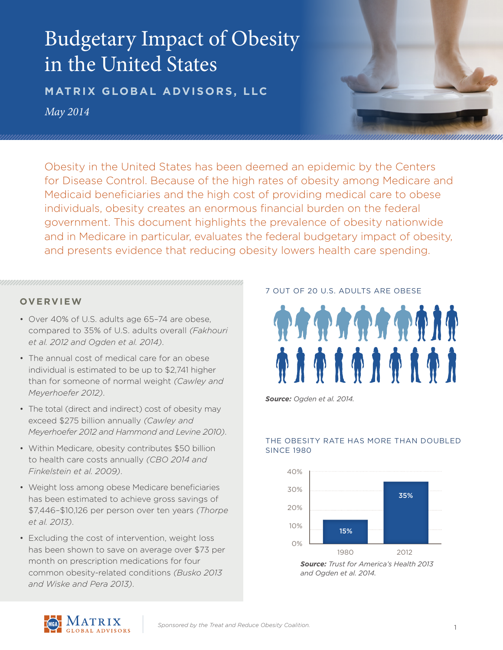# Budgetary Impact of Obesity in the United States

**MATRIX GLOBAL ADVISORS, LLC** *May 2014*

Obesity in the United States has been deemed an epidemic by the Centers for Disease Control. Because of the high rates of obesity among Medicare and Medicaid beneficiaries and the high cost of providing medical care to obese individuals, obesity creates an enormous financial burden on the federal government. This document highlights the prevalence of obesity nationwide and in Medicare in particular, evaluates the federal budgetary impact of obesity, and presents evidence that reducing obesity lowers health care spending.

# **OVERVIEW**

- Over 40% of U.S. adults age 65–74 are obese, compared to 35% of U.S. adults overall *(Fakhouri et al. 2012 and Ogden et al. 2014)*.
- The annual cost of medical care for an obese individual is estimated to be up to \$2,741 higher than for someone of normal weight *(Cawley and Meyerhoefer 2012)*.
- The total (direct and indirect) cost of obesity may exceed \$275 billion annually *(Cawley and Meyerhoefer 2012 and Hammond and Levine 2010)*.
- Within Medicare, obesity contributes \$50 billion to health care costs annually *(CBO 2014 and Finkelstein et al. 2009)*.
- Weight loss among obese Medicare beneficiaries has been estimated to achieve gross savings of \$7,446–\$10,126 per person over ten years *(Thorpe et al. 2013)*.
- Excluding the cost of intervention, weight loss has been shown to save on average over \$73 per month on prescription medications for four common obesity-related conditions *(Busko 2013 and Wiske and Pera 2013)*.

# 7 OUT OF 20 U.S. ADULTS ARE OBESE



*Source: Ogden et al. 2014.*

# THE OBESITY RATE HAS MORE THAN DOUBLED **SINCE 1980**



*Source: Trust for America's Health 2013 and Ogden et al. 2014.*

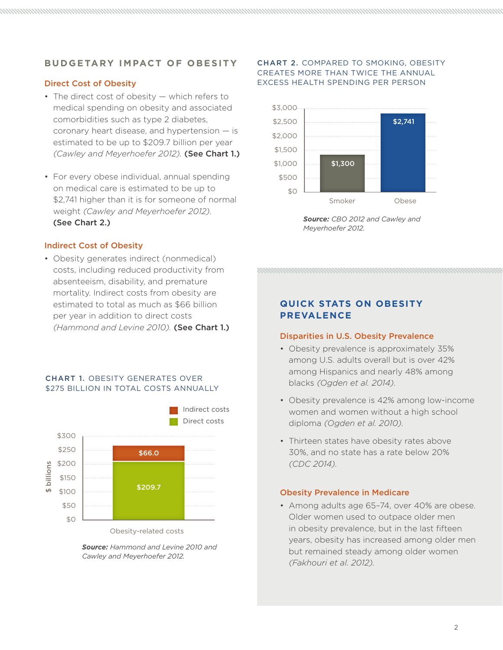# **BUDGETARY IMPACT OF OBESITY**

# Direct Cost of Obesity

- The direct cost of obesity which refers to medical spending on obesity and associated comorbidities such as type 2 diabetes, coronary heart disease, and hypertension — is estimated to be up to \$209.7 billion per year *(Cawley and Meyerhoefer 2012).* (See Chart 1.)
- For every obese individual, annual spending on medical care is estimated to be up to \$2,741 higher than it is for someone of normal weight *(Cawley and Meyerhoefer 2012).*  (See Chart 2.)

#### Indirect Cost of Obesity

• Obesity generates indirect (nonmedical) costs, including reduced productivity from absenteeism, disability, and premature mortality. Indirect costs from obesity are estimated to total as much as \$66 billion per year in addition to direct costs *(Hammond and Levine 2010).* (See Chart 1.)

# CHART 1. OBESITY GENERATES OVER \$275 BILLION IN TOTAL COSTS ANNUALLY



Obesity-related costs

*Source: Hammond and Levine 2010 and Cawley and Meyerhoefer 2012.*

## CHART 2. COMPARED TO SMOKING, OBESITY CREATES MORE THAN TWICE THE ANNUAL EXCESS HEALTH SPENDING PER PERSON



*Source: CBO 2012 and Cawley and Meyerhoefer 2012.*

# **QUICK STATS ON OBESITY PREVALENCE**

#### Disparities in U.S. Obesity Prevalence

- Obesity prevalence is approximately 35% among U.S. adults overall but is over 42% among Hispanics and nearly 48% among blacks *(Ogden et al. 2014).*
- Obesity prevalence is 42% among low-income women and women without a high school diploma *(Ogden et al. 2010).*
- Thirteen states have obesity rates above 30%, and no state has a rate below 20% *(CDC 2014).*

#### Obesity Prevalence in Medicare

• Among adults age 65–74, over 40% are obese. Older women used to outpace older men in obesity prevalence, but in the last fifteen years, obesity has increased among older men but remained steady among older women *(Fakhouri et al. 2012).*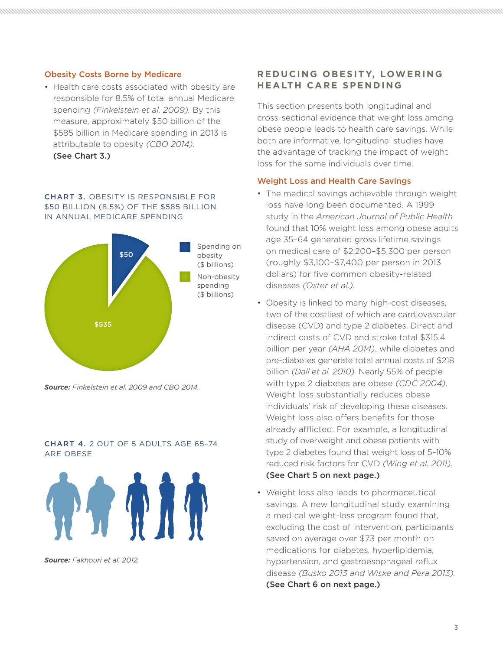## Obesity Costs Borne by Medicare

• Health care costs associated with obesity are responsible for 8.5% of total annual Medicare spending *(Finkelstein et al. 2009).* By this measure, approximately \$50 billion of the \$585 billion in Medicare spending in 2013 is attributable to obesity *(CBO 2014).* 

(See Chart 3.)

## CHART 3. OBESITY IS RESPONSIBLE FOR \$50 BILLION (8.5%) OF THE \$585 BILLION IN ANNUAL MEDICARE SPENDING



*Source: Finkelstein et al. 2009 and CBO 2014.*

#### CHART 4. 2 OUT OF 5 ADULTS AGE 65–74 ARE OBESE



*Source: Fakhouri et al. 2012.*

# **REDUCING OBESITY, LOWERING HEALTH CARE SPENDING**

This section presents both longitudinal and cross-sectional evidence that weight loss among obese people leads to health care savings. While both are informative, longitudinal studies have the advantage of tracking the impact of weight loss for the same individuals over time.

## Weight Loss and Health Care Savings

- The medical savings achievable through weight loss have long been documented. A 1999 study in the *American Journal of Public Health* found that 10% weight loss among obese adults age 35–64 generated gross lifetime savings on medical care of \$2,200–\$5,300 per person (roughly \$3,100–\$7,400 per person in 2013 dollars) for five common obesity-related diseases *(Oster et al.).*
- Obesity is linked to many high-cost diseases, two of the costliest of which are cardiovascular disease (CVD) and type 2 diabetes. Direct and indirect costs of CVD and stroke total \$315.4 billion per year *(AHA 2014)*, while diabetes and pre-diabetes generate total annual costs of \$218 billion *(Dall et al. 2010).* Nearly 55% of people with type 2 diabetes are obese *(CDC 2004).*  Weight loss substantially reduces obese individuals' risk of developing these diseases. Weight loss also offers benefits for those already afflicted. For example, a longitudinal study of overweight and obese patients with type 2 diabetes found that weight loss of 5–10% reduced risk factors for CVD *(Wing et al. 2011).* (See Chart 5 on next page.)
- Weight loss also leads to pharmaceutical savings. A new longitudinal study examining a medical weight-loss program found that, excluding the cost of intervention, participants saved on average over \$73 per month on medications for diabetes, hyperlipidemia, hypertension, and gastroesophageal reflux disease *(Busko 2013 and Wiske and Pera 2013).*  (See Chart 6 on next page.)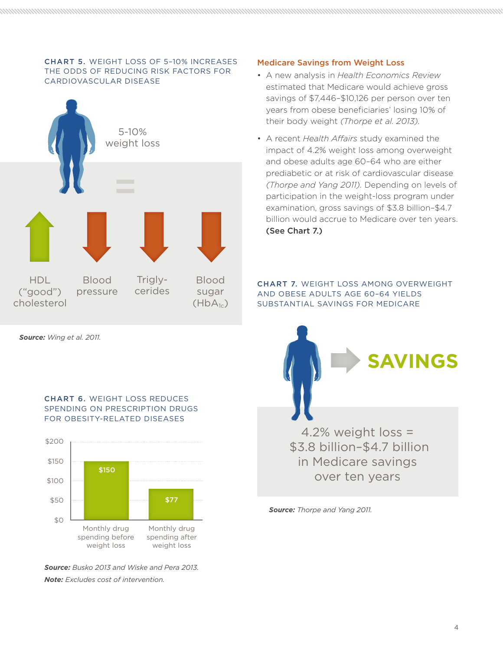# CHART 5. WEIGHT LOSS OF 5–10% INCREASES THE ODDS OF REDUCING RISK FACTORS FOR CARDIOVASCULAR DISEASE



*Source: Wing et al. 2011.*

# CHART 6. WEIGHT LOSS REDUCES SPENDING ON PRESCRIPTION DRUGS FOR OBESITY-RELATED DISEASES



*Source: Busko 2013 and Wiske and Pera 2013. Note: Excludes cost of intervention.*

# Medicare Savings from Weight Loss

- A new analysis in *Health Economics Review*  estimated that Medicare would achieve gross savings of \$7,446–\$10,126 per person over ten years from obese beneficiaries' losing 10% of their body weight *(Thorpe et al. 2013).*
- A recent *Health Affairs* study examined the impact of 4.2% weight loss among overweight and obese adults age 60–64 who are either prediabetic or at risk of cardiovascular disease *(Thorpe and Yang 2011).* Depending on levels of participation in the weight-loss program under examination, gross savings of \$3.8 billion–\$4.7 billion would accrue to Medicare over ten years. (See Chart 7.)

CHART 7. WEIGHT LOSS AMONG OVERWEIGHT AND OBESE ADULTS AGE 60–64 YIELDS SUBSTANTIAL SAVINGS FOR MEDICARE



*Source: Thorpe and Yang 2011.*